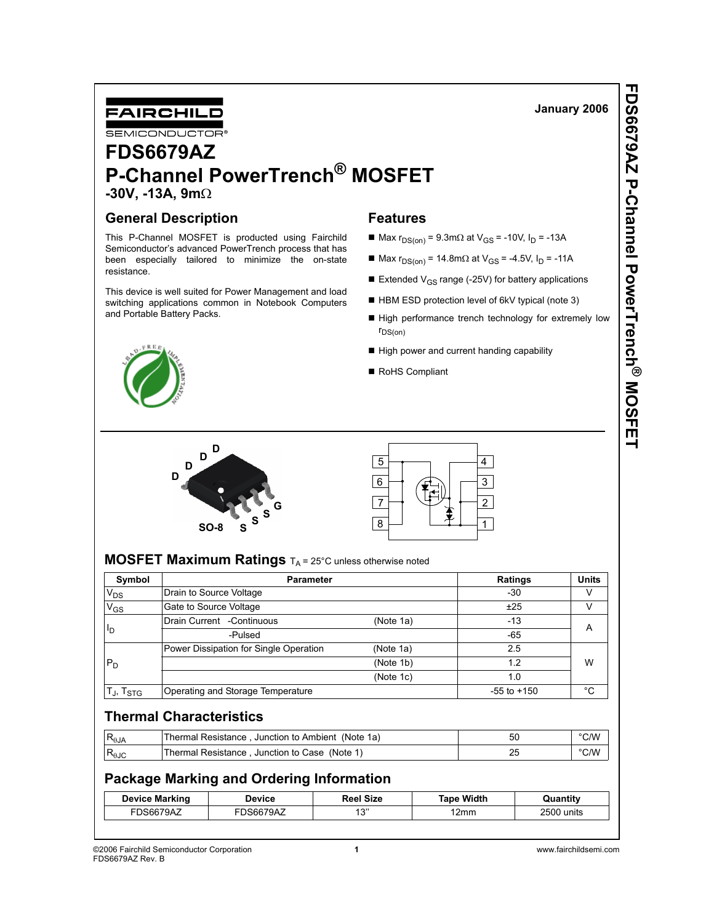**January 2006**

**FDS6679AZ P-Channel PowerTrench**

FUS6029NZ P-Channe\_PowerTrench® MOSEH

**® MOSFET**



SEMICONDUCTOR

# **FDS6679AZ P-Channel PowerTrench® MOSFET -30V, -13A, 9m**Ω

## **General Description**

This P-Channel MOSFET is producted using Fairchild Semiconductor's advanced PowerTrench process that has been especially tailored to minimize the on-state resistance.

This device is well suited for Power Management and load switching applications common in Notebook Computers and Portable Battery Packs.



## **Features**

- $Max r<sub>DS(on)</sub> = 9.3mΩ at V<sub>GS</sub> = -10V, I<sub>D</sub> = -13A$
- $\blacksquare$  Max r<sub>DS(on)</sub> = 14.8mΩ at V<sub>GS</sub> = -4.5V, I<sub>D</sub> = -11A
- Extended  $V_{GS}$  range (-25V) for battery applications
- HBM ESD protection level of 6kV typical (note 3)
- High performance trench technology for extremely low  $r_{DS(on)}$
- High power and current handing capability
- RoHS Compliant





### **MOSFET Maximum Ratings**  $T_A = 25^\circ$ C unless otherwise noted

| Symbol            | <b>Parameter</b>                       |           | <b>Ratings</b>  | <b>Units</b> |  |
|-------------------|----------------------------------------|-----------|-----------------|--------------|--|
| $V_{DS}$          | Drain to Source Voltage                |           | -30             | v            |  |
| $V_{GS}$          | Gate to Source Voltage                 |           | ±25             | V            |  |
|                   | Drain Current - Continuous             | (Note 1a) | $-13$           |              |  |
| <sup>I</sup> D    | -Pulsed                                |           | -65             | A            |  |
| $P_D$             | Power Dissipation for Single Operation | (Note 1a) | 2.5             |              |  |
|                   |                                        | (Note 1b) | 1.2             | W            |  |
|                   |                                        | (Note 1c) | 1.0             |              |  |
| $T_J$ , $T_{STG}$ | Operating and Storage Temperature      |           | $-55$ to $+150$ | $^{\circ}$ C |  |

| $\mathsf{R}_{\theta\mathsf{JA}}$ | Thermal Resistance, Junction to Ambient (Note 1a) | 50 | °C/W           |
|----------------------------------|---------------------------------------------------|----|----------------|
| $\mathsf{R}_{\theta\mathsf{JC}}$ | Thermal Resistance, Junction to Case (Note 1)     |    | $^{\circ}$ C/W |

## **Package Marking and Ordering Information**

| <b>Device Marking</b> | Device    | <b>Reel Size</b> | <b>Tape Width</b> | Quantitv   |
|-----------------------|-----------|------------------|-------------------|------------|
| FDS6679AZ             | FDS6679AZ | 12"<br>ں،        | 2mm               | 2500 units |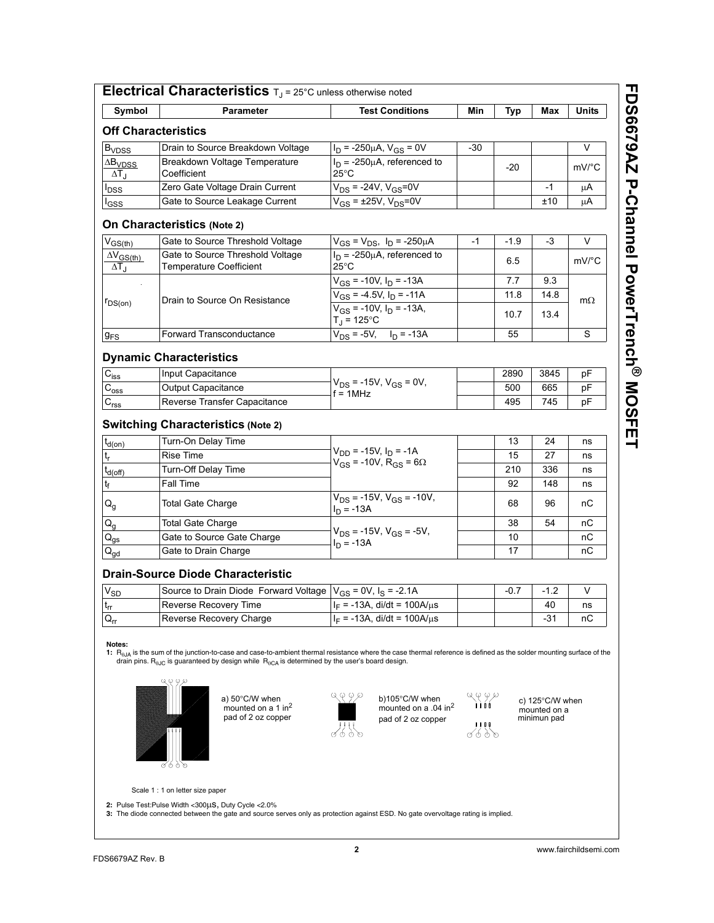| Symbol                                     | <b>Parameter</b>                                                   | <b>Test Conditions</b>                                                        | Min   | Typ    | Max  | <b>Units</b>          |  |
|--------------------------------------------|--------------------------------------------------------------------|-------------------------------------------------------------------------------|-------|--------|------|-----------------------|--|
|                                            | <b>Off Characteristics</b>                                         |                                                                               |       |        |      |                       |  |
| <b>B</b> <sub>VDSS</sub>                   | Drain to Source Breakdown Voltage                                  | $I_D$ = -250µA, $V_{GS}$ = 0V                                                 | $-30$ |        |      | V                     |  |
| ∆B <sub>VDSS</sub><br>$\Delta T_{\rm J}$   | Breakdown Voltage Temperature<br>Coefficient                       | $I_D = -250\mu A$ , referenced to<br>25°C                                     |       | $-20$  |      | $mV$ <sup>o</sup> $C$ |  |
| <sup>I</sup> DSS                           | Zero Gate Voltage Drain Current                                    | $V_{DS}$ = -24V, $V_{GS}$ =0V                                                 |       |        | $-1$ | μA                    |  |
| l <sub>GSS</sub>                           | Gate to Source Leakage Current                                     | $V_{GS}$ = ±25V, $V_{DS} = 0V$                                                |       |        | ±10  | $\mu$ A               |  |
|                                            | On Characteristics (Note 2)                                        |                                                                               |       |        |      |                       |  |
| $V_{GS(th)}$                               | Gate to Source Threshold Voltage                                   | $V_{GS} = V_{DS}$ , $I_D = -250 \mu A$                                        | $-1$  | $-1.9$ | -3   | V                     |  |
| $\Delta V_{GS(th)}$<br>$\Delta T_{\rm cl}$ | Gate to Source Threshold Voltage<br><b>Temperature Coefficient</b> | $I_D = -250 \mu A$ , referenced to<br>$25^{\circ}$ C                          |       | 6.5    |      | $mV$ °C               |  |
|                                            |                                                                    | $V_{GS}$ = -10V, $I_D$ = -13A                                                 |       | 7.7    | 9.3  |                       |  |
|                                            | Drain to Source On Resistance                                      | $V_{GS}$ = -4.5V, $I_D$ = -11A                                                |       | 11.8   | 14.8 | $m\Omega$             |  |
| $r_{DS(on)}$                               |                                                                    | $V_{GS}$ = -10V, $I_D$ = -13A,<br>$T_J = 125$ °C                              |       | 10.7   | 13.4 |                       |  |
| $g_{FS}$                                   | <b>Forward Transconductance</b>                                    | $I_D$ = -13A<br>$V_{DS}$ = -5V,                                               |       | 55     |      | S                     |  |
|                                            | <b>Dynamic Characteristics</b>                                     |                                                                               |       |        |      |                       |  |
| $\overline{C_{\text{iss}}}$                | Input Capacitance                                                  |                                                                               |       | 2890   | 3845 | рF                    |  |
| $\mathsf{C}_{\mathsf{oss}}$                | <b>Output Capacitance</b>                                          | $V_{DS}$ = -15V, $V_{GS}$ = 0V,<br>$f = 1$ MHz                                |       | 500    | 665  | pF                    |  |
| $C_{rss}$                                  | Reverse Transfer Capacitance                                       |                                                                               |       | 495    | 745  | рF                    |  |
|                                            | <b>Switching Characteristics (Note 2)</b>                          |                                                                               |       |        |      |                       |  |
| $t_{d(on)}$                                | Turn-On Delay Time                                                 |                                                                               |       | 13     | 24   | ns                    |  |
| t,                                         | Rise Time                                                          | $V_{DD}$ = -15V, $I_D$ = -1A<br>$V_{GS}$ = -10V, R <sub>GS</sub> = 6 $\Omega$ |       | 15     | 27   | ns                    |  |
| $t_{d(Off)}$                               | Turn-Off Delay Time                                                |                                                                               |       | 210    | 336  | ns                    |  |
| tf                                         | Fall Time                                                          |                                                                               |       | 92     | 148  | ns                    |  |
| $Q_g$                                      | <b>Total Gate Charge</b>                                           | $V_{DS}$ = -15V, $V_{GS}$ = -10V,<br>$I_D = -13A$                             |       | 68     | 96   | nС                    |  |
| $Q_q$                                      | <b>Total Gate Charge</b>                                           |                                                                               |       | 38     | 54   | nС                    |  |
| $Q_{gs}$                                   | Gate to Source Gate Charge                                         | $V_{DS}$ = -15V, $V_{GS}$ = -5V,<br>I <sub>D</sub> = -13A                     |       | 10     |      | пC                    |  |
| $Q_{gd}$                                   | Gate to Drain Charge                                               |                                                                               |       | 17     |      | nС                    |  |

| V <sub>SD</sub> | Source to Drain Diode Forward Voltage $ V_{GS}$ = 0V, $I_S$ = -2.1A |                                     |  |     |    |
|-----------------|---------------------------------------------------------------------|-------------------------------------|--|-----|----|
| $t_{rr}$        | Reverse Recovery Time                                               | $I_F$ = -13A, di/dt = 100A/ $\mu$ s |  | 40  | ns |
| ∣Q…             | Reverse Recovery Charge                                             | $I_{\rm E}$ = -13A. di/dt = 100A/us |  | -31 | пC |

**Notes:**

1:  $R_{6JA}$  is the sum of the junction-to-case and case-to-ambient thermal resistance where the case thermal reference is defined as the solder mounting surface of the<br>drain pins. R<sub>6JC</sub> is guaranteed by design while R<sub>6CA</sub>









 minimun pad c) 125 °C/W when mounted on a

Jego

888

Scale 1 : 1 on letter size paper

**2:** Pulse Test:Pulse Width <300 µs, Duty Cycle <2.0%

**3:** The diode connected between the gate and source serves only as protection against ESD. No gate overvoltage rating is implied.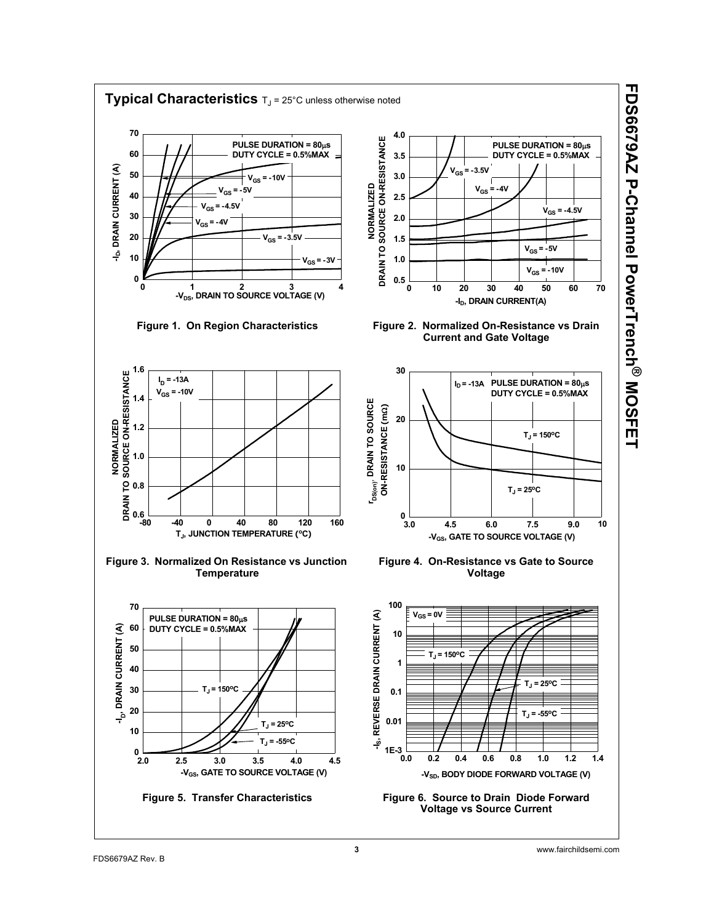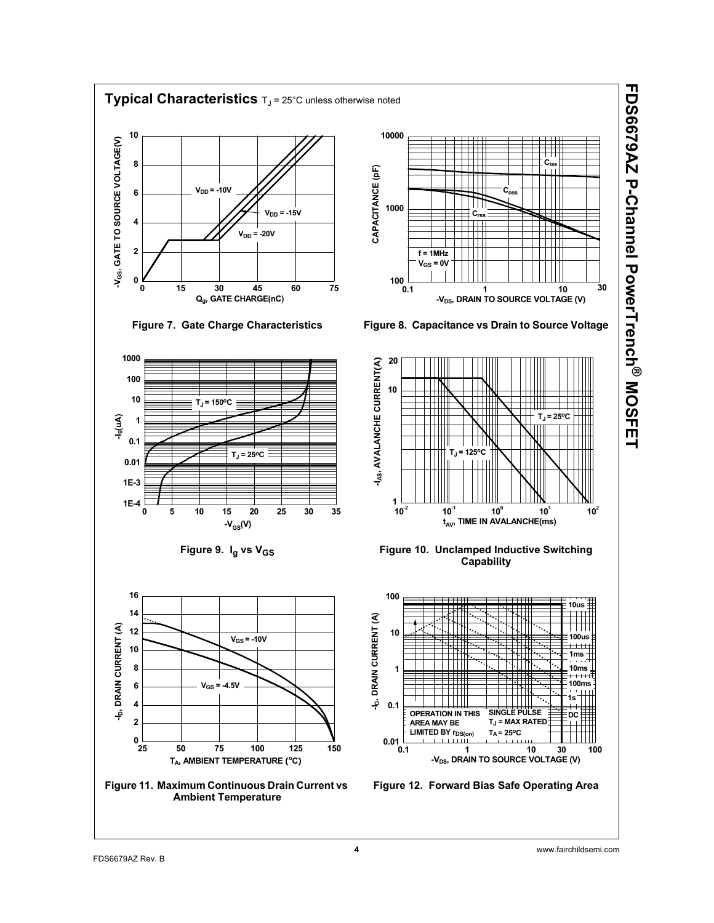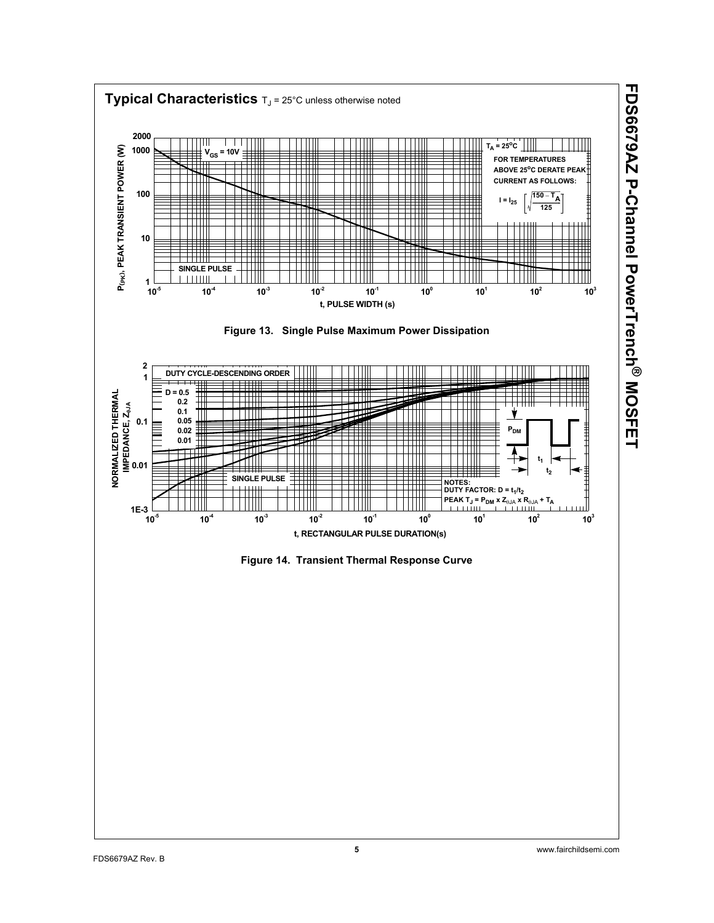